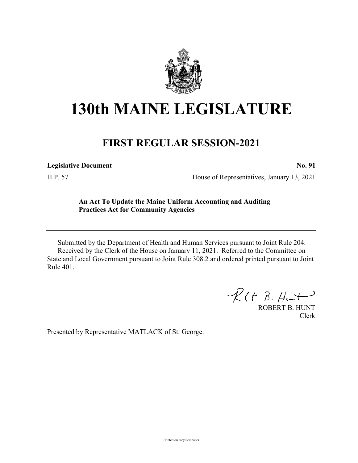

## **130th MAINE LEGISLATURE**

## **FIRST REGULAR SESSION-2021**

**Legislative Document No. 91**

H.P. 57 House of Representatives, January 13, 2021

## **An Act To Update the Maine Uniform Accounting and Auditing Practices Act for Community Agencies**

Submitted by the Department of Health and Human Services pursuant to Joint Rule 204. Received by the Clerk of the House on January 11, 2021. Referred to the Committee on State and Local Government pursuant to Joint Rule 308.2 and ordered printed pursuant to Joint Rule 401.

 $R(H B. H<sub>ur</sub>)$ 

ROBERT B. HUNT Clerk

Presented by Representative MATLACK of St. George.